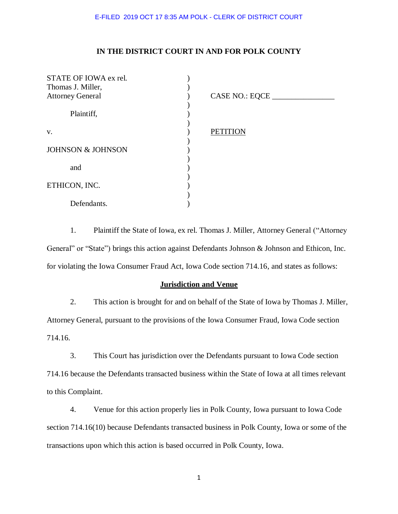## **IN THE DISTRICT COURT IN AND FOR POLK COUNTY**

| STATE OF IOWA ex rel.        |                 |
|------------------------------|-----------------|
| Thomas J. Miller,            |                 |
| <b>Attorney General</b>      | CASE NO.: EQCE  |
|                              |                 |
| Plaintiff,                   |                 |
|                              |                 |
| V.                           | <b>PETITION</b> |
|                              |                 |
| <b>JOHNSON &amp; JOHNSON</b> |                 |
|                              |                 |
| and                          |                 |
|                              |                 |
| ETHICON, INC.                |                 |
|                              |                 |
| Defendants.                  |                 |

1. Plaintiff the State of Iowa, ex rel. Thomas J. Miller, Attorney General ("Attorney General" or "State") brings this action against Defendants Johnson & Johnson and Ethicon, Inc. for violating the Iowa Consumer Fraud Act, Iowa Code section 714.16, and states as follows:

### **Jurisdiction and Venue**

2. This action is brought for and on behalf of the State of Iowa by Thomas J. Miller, Attorney General, pursuant to the provisions of the Iowa Consumer Fraud, Iowa Code section 714.16.

3. This Court has jurisdiction over the Defendants pursuant to Iowa Code section 714.16 because the Defendants transacted business within the State of Iowa at all times relevant to this Complaint.

4. Venue for this action properly lies in Polk County, Iowa pursuant to Iowa Code section 714.16(10) because Defendants transacted business in Polk County, Iowa or some of the transactions upon which this action is based occurred in Polk County, Iowa.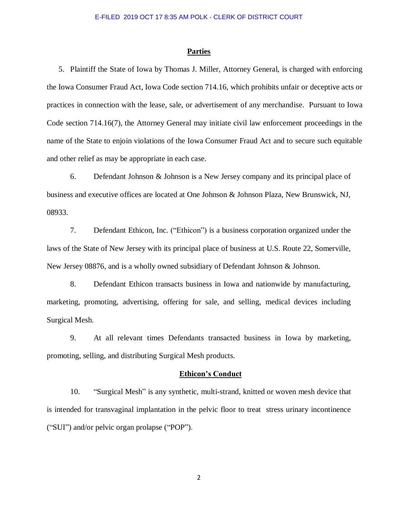#### **Parties**

5. Plaintiff the State of Iowa by Thomas J. Miller, Attorney General, is charged with enforcing the Iowa Consumer Fraud Act, Iowa Code section 714.16, which prohibits unfair or deceptive acts or practices in connection with the lease, sale, or advertisement of any merchandise. Pursuant to Iowa Code section 714.16(7), the Attorney General may initiate civil law enforcement proceedings in the name of the State to enjoin violations of the Iowa Consumer Fraud Act and to secure such equitable and other relief as may be appropriate in each case.

6. Defendant Johnson & Johnson is a New Jersey company and its principal place of business and executive offices are located at One Johnson & Johnson Plaza, New Brunswick, NJ, 08933.

7. Defendant Ethicon, Inc. ("Ethicon") is a business corporation organized under the laws of the State of New Jersey with its principal place of business at U.S. Route 22, Somerville, New Jersey 08876, and is a wholly owned subsidiary of Defendant Johnson & Johnson.

8. Defendant Ethicon transacts business in Iowa and nationwide by manufacturing, marketing, promoting, advertising, offering for sale, and selling, medical devices including Surgical Mesh.

9. At all relevant times Defendants transacted business in Iowa by marketing, promoting, selling, and distributing Surgical Mesh products.

#### **Ethicon's Conduct**

10. "Surgical Mesh" is any synthetic, multi-strand, knitted or woven mesh device that is intended for transvaginal implantation in the pelvic floor to treat stress urinary incontinence ("SUI") and/or pelvic organ prolapse ("POP").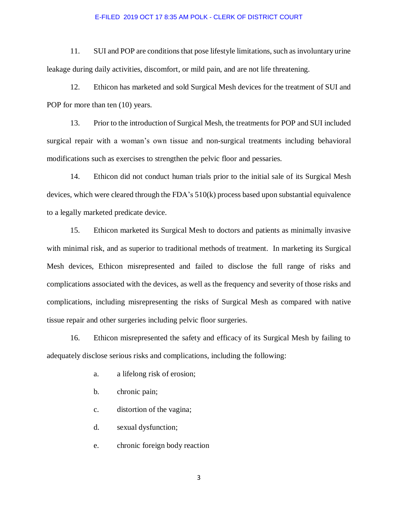11. SUI and POP are conditions that pose lifestyle limitations, such as involuntary urine leakage during daily activities, discomfort, or mild pain, and are not life threatening.

12. Ethicon has marketed and sold Surgical Mesh devices for the treatment of SUI and POP for more than ten  $(10)$  years.

13. Prior to the introduction of Surgical Mesh, the treatments for POP and SUI included surgical repair with a woman's own tissue and non-surgical treatments including behavioral modifications such as exercises to strengthen the pelvic floor and pessaries.

14. Ethicon did not conduct human trials prior to the initial sale of its Surgical Mesh devices, which were cleared through the FDA's 510(k) process based upon substantial equivalence to a legally marketed predicate device.

15. Ethicon marketed its Surgical Mesh to doctors and patients as minimally invasive with minimal risk, and as superior to traditional methods of treatment. In marketing its Surgical Mesh devices, Ethicon misrepresented and failed to disclose the full range of risks and complications associated with the devices, as well as the frequency and severity of those risks and complications, including misrepresenting the risks of Surgical Mesh as compared with native tissue repair and other surgeries including pelvic floor surgeries.

16. Ethicon misrepresented the safety and efficacy of its Surgical Mesh by failing to adequately disclose serious risks and complications, including the following:

- a. a lifelong risk of erosion;
- b. chronic pain;
- c. distortion of the vagina;
- d. sexual dysfunction;
- e. chronic foreign body reaction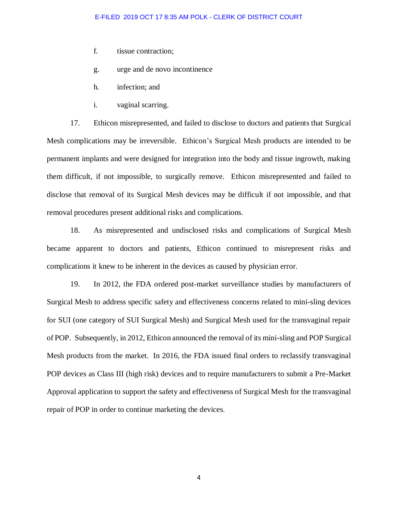- f. tissue contraction;
- g. urge and de novo incontinence
- h. infection; and
- i. vaginal scarring.

17. Ethicon misrepresented, and failed to disclose to doctors and patients that Surgical Mesh complications may be irreversible. Ethicon's Surgical Mesh products are intended to be permanent implants and were designed for integration into the body and tissue ingrowth, making them difficult, if not impossible, to surgically remove. Ethicon misrepresented and failed to disclose that removal of its Surgical Mesh devices may be difficult if not impossible, and that removal procedures present additional risks and complications.

18. As misrepresented and undisclosed risks and complications of Surgical Mesh became apparent to doctors and patients, Ethicon continued to misrepresent risks and complications it knew to be inherent in the devices as caused by physician error.

19. In 2012, the FDA ordered post-market surveillance studies by manufacturers of Surgical Mesh to address specific safety and effectiveness concerns related to mini-sling devices for SUI (one category of SUI Surgical Mesh) and Surgical Mesh used for the transvaginal repair of POP. Subsequently, in 2012, Ethicon announced the removal of its mini-sling and POP Surgical Mesh products from the market. In 2016, the FDA issued final orders to reclassify transvaginal POP devices as Class III (high risk) devices and to require manufacturers to submit a Pre-Market Approval application to support the safety and effectiveness of Surgical Mesh for the transvaginal repair of POP in order to continue marketing the devices.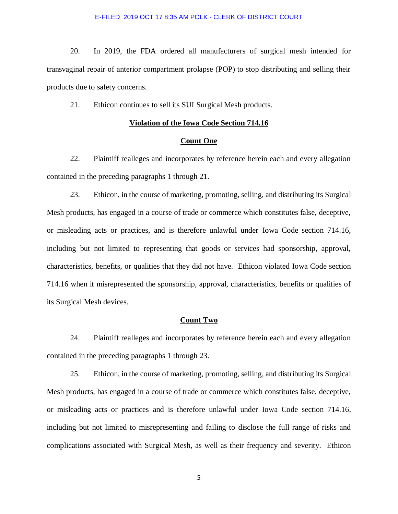20. In 2019, the FDA ordered all manufacturers of surgical mesh intended for transvaginal repair of anterior compartment prolapse (POP) to stop distributing and selling their products due to safety concerns.

21. Ethicon continues to sell its SUI Surgical Mesh products.

### **Violation of the Iowa Code Section 714.16**

### **Count One**

22. Plaintiff realleges and incorporates by reference herein each and every allegation contained in the preceding paragraphs 1 through 21.

23. Ethicon, in the course of marketing, promoting, selling, and distributing its Surgical Mesh products, has engaged in a course of trade or commerce which constitutes false, deceptive, or misleading acts or practices, and is therefore unlawful under Iowa Code section 714.16, including but not limited to representing that goods or services had sponsorship, approval, characteristics, benefits, or qualities that they did not have. Ethicon violated Iowa Code section 714.16 when it misrepresented the sponsorship, approval, characteristics, benefits or qualities of its Surgical Mesh devices.

### **Count Two**

24. Plaintiff realleges and incorporates by reference herein each and every allegation contained in the preceding paragraphs 1 through 23.

25. Ethicon, in the course of marketing, promoting, selling, and distributing its Surgical Mesh products, has engaged in a course of trade or commerce which constitutes false, deceptive, or misleading acts or practices and is therefore unlawful under Iowa Code section 714.16, including but not limited to misrepresenting and failing to disclose the full range of risks and complications associated with Surgical Mesh, as well as their frequency and severity. Ethicon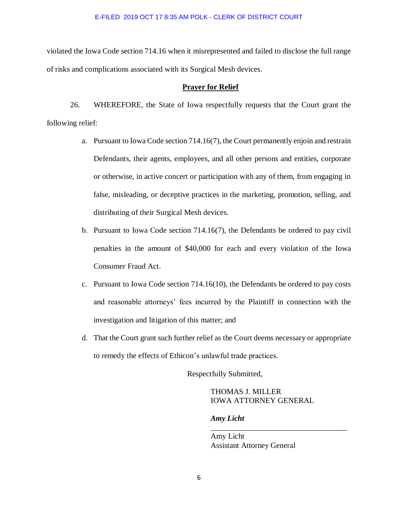violated the Iowa Code section 714.16 when it misrepresented and failed to disclose the full range of risks and complications associated with its Surgical Mesh devices.

### **Prayer for Relief**

26. WHEREFORE, the State of Iowa respectfully requests that the Court grant the following relief:

- a. Pursuant to Iowa Code section 714.16(7), the Court permanently enjoin and restrain Defendants, their agents, employees, and all other persons and entities, corporate or otherwise, in active concert or participation with any of them, from engaging in false, misleading, or deceptive practices in the marketing, promotion, selling, and distributing of their Surgical Mesh devices.
- b. Pursuant to Iowa Code section 714.16(7), the Defendants be ordered to pay civil penalties in the amount of \$40,000 for each and every violation of the Iowa Consumer Fraud Act.
- c. Pursuant to Iowa Code section 714.16(10), the Defendants be ordered to pay costs and reasonable attorneys' fees incurred by the Plaintiff in connection with the investigation and litigation of this matter; and
- d. That the Court grant such further relief as the Court deems necessary or appropriate to remedy the effects of Ethicon's unlawful trade practices.

Respectfully Submitted,

THOMAS J. MILLER IOWA ATTORNEY GENERAL

\_\_\_\_\_\_\_\_\_\_\_\_\_\_\_\_\_\_\_\_\_\_\_\_\_\_\_\_\_\_\_\_\_\_\_

*Amy Licht* 

Amy Licht Assistant Attorney General